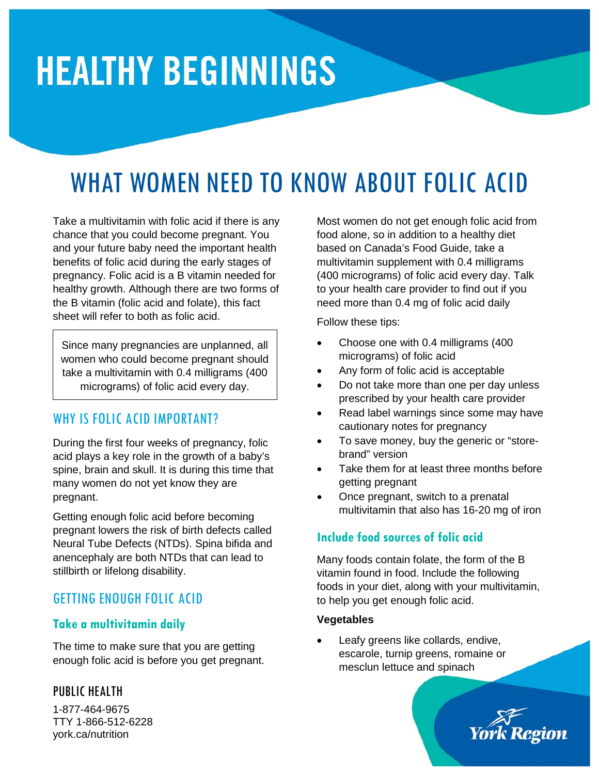# **HEALTHY BEGINNINGS**

# WHAT WOMEN NEED TO KNOW ABOUT FOLIC ACID

Take a multivitamin with folic acid if there is any chance that you could become pregnant. You and your future baby need the important health benefits of folic acid during the early stages of pregnancy. Folic acid is a B vitamin needed for healthy growth. Although there are two forms of the B vitamin (folic acid and folate), this fact sheet will refer to both as folic acid.

Since many pregnancies are unplanned, all women who could become pregnant should take a multivitamin with 0.4 milligrams (400 micrograms) of folic acid every day.

# WHY IS FOLIC ACID IMPORTANT?

During the first four weeks of pregnancy, folic acid plays a key role in the growth of a baby's spine, brain and skull. It is during this time that many women do not yet know they are pregnant.

Getting enough folic acid before becoming pregnant lowers the risk of birth defects called Neural Tube Defects (NTDs). Spina bifida and anencephaly are both NTDs that can lead to stillbirth or lifelong disability.

# GETTING ENOUGH FOLIC ACID

#### **Take a multivitamin daily**

The time to make sure that you are getting enough folic acid is before you get pregnant.

#### PUBLIC HEALTH

1-877-464-9675 TTY 1-866-512-6228 york.ca/nutrition

Most women do not get enough folic acid from food alone, so in addition to a healthy diet based on Canada's Food Guide, take a multivitamin supplement with 0.4 milligrams (400 micrograms) of folic acid every day. Talk to your health care provider to find out if you need more than 0.4 mg of folic acid daily

Follow these tips:

- Choose one with 0.4 milligrams (400 micrograms) of folic acid
- Any form of folic acid is acceptable
- Do not take more than one per day unless prescribed by your health care provider
- Read label warnings since some may have cautionary notes for pregnancy
- To save money, buy the generic or "storebrand" version
- Take them for at least three months before getting pregnant
- Once pregnant, switch to a prenatal multivitamin that also has 16-20 mg of iron

# **Include food sources of folic acid**

Many foods contain folate, the form of the B vitamin found in food. Include the following foods in your diet, along with your multivitamin, to help you get enough folic acid.

#### **Vegetables**

Leafy greens like collards, endive, escarole, turnip greens, romaine or mesclun lettuce and spinach